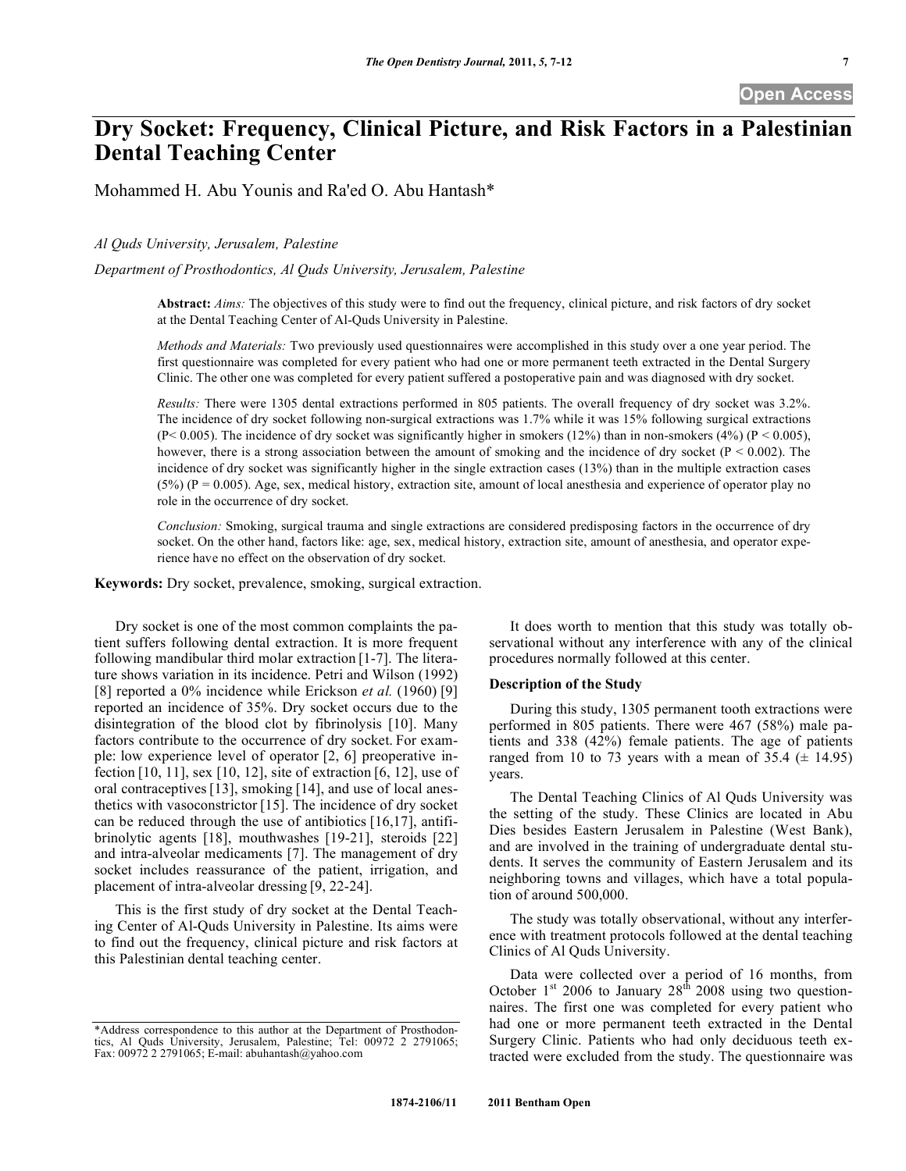**Open Access** 

# **Dry Socket: Frequency, Clinical Picture, and Risk Factors in a Palestinian Dental Teaching Center**

Mohammed H. Abu Younis and Ra'ed O. Abu Hantash\*

*Al Quds University, Jerusalem, Palestine* 

*Department of Prosthodontics, Al Quds University, Jerusalem, Palestine*

**Abstract:** *Aims:* The objectives of this study were to find out the frequency, clinical picture, and risk factors of dry socket at the Dental Teaching Center of Al-Quds University in Palestine.

*Methods and Materials:* Two previously used questionnaires were accomplished in this study over a one year period. The first questionnaire was completed for every patient who had one or more permanent teeth extracted in the Dental Surgery Clinic. The other one was completed for every patient suffered a postoperative pain and was diagnosed with dry socket.

*Results:* There were 1305 dental extractions performed in 805 patients. The overall frequency of dry socket was 3.2%. The incidence of dry socket following non-surgical extractions was 1.7% while it was 15% following surgical extractions (P< 0.005). The incidence of dry socket was significantly higher in smokers (12%) than in non-smokers (4%) (P < 0.005), however, there is a strong association between the amount of smoking and the incidence of dry socket  $(P < 0.002)$ . The incidence of dry socket was significantly higher in the single extraction cases (13%) than in the multiple extraction cases  $(5%)$  (P = 0.005). Age, sex, medical history, extraction site, amount of local anesthesia and experience of operator play no role in the occurrence of dry socket.

*Conclusion:* Smoking, surgical trauma and single extractions are considered predisposing factors in the occurrence of dry socket. On the other hand, factors like: age, sex, medical history, extraction site, amount of anesthesia, and operator experience have no effect on the observation of dry socket.

**Keywords:** Dry socket, prevalence, smoking, surgical extraction.

Dry socket is one of the most common complaints the patient suffers following dental extraction. It is more frequent following mandibular third molar extraction [1-7]. The literature shows variation in its incidence. Petri and Wilson (1992) [8] reported a 0% incidence while Erickson *et al.* (1960) [9] reported an incidence of 35%. Dry socket occurs due to the disintegration of the blood clot by fibrinolysis [10]. Many factors contribute to the occurrence of dry socket. For example: low experience level of operator [2, 6] preoperative infection [10, 11], sex [10, 12], site of extraction [6, 12], use of oral contraceptives[13], smoking [14], and use of local anesthetics with vasoconstrictor [15]. The incidence of dry socket can be reduced through the use of antibiotics [16,17], antifibrinolytic agents [18], mouthwashes [19-21], steroids [22] and intra-alveolar medicaments [7]. The management of dry socket includes reassurance of the patient, irrigation, and placement of intra-alveolar dressing [9, 22-24].

This is the first study of dry socket at the Dental Teaching Center of Al-Quds University in Palestine. Its aims were to find out the frequency, clinical picture and risk factors at this Palestinian dental teaching center.

It does worth to mention that this study was totally observational without any interference with any of the clinical procedures normally followed at this center.

## **Description of the Study**

During this study, 1305 permanent tooth extractions were performed in 805 patients. There were 467 (58%) male patients and 338 (42%) female patients. The age of patients ranged from 10 to 73 years with a mean of 35.4  $(\pm 14.95)$ years.

The Dental Teaching Clinics of Al Quds University was the setting of the study. These Clinics are located in Abu Dies besides Eastern Jerusalem in Palestine (West Bank), and are involved in the training of undergraduate dental students. It serves the community of Eastern Jerusalem and its neighboring towns and villages, which have a total population of around 500,000.

The study was totally observational, without any interference with treatment protocols followed at the dental teaching Clinics of Al Quds University.

Data were collected over a period of 16 months, from October  $1<sup>st</sup>$  2006 to January  $28<sup>th</sup>$  2008 using two questionnaires. The first one was completed for every patient who had one or more permanent teeth extracted in the Dental Surgery Clinic. Patients who had only deciduous teeth extracted were excluded from the study. The questionnaire was

<sup>\*</sup>Address correspondence to this author at the Department of Prosthodontics, Al Quds University, Jerusalem, Palestine; Tel: 00972 2 2791065; Fax: 00972 2 2791065; E-mail: abuhantash@yahoo.com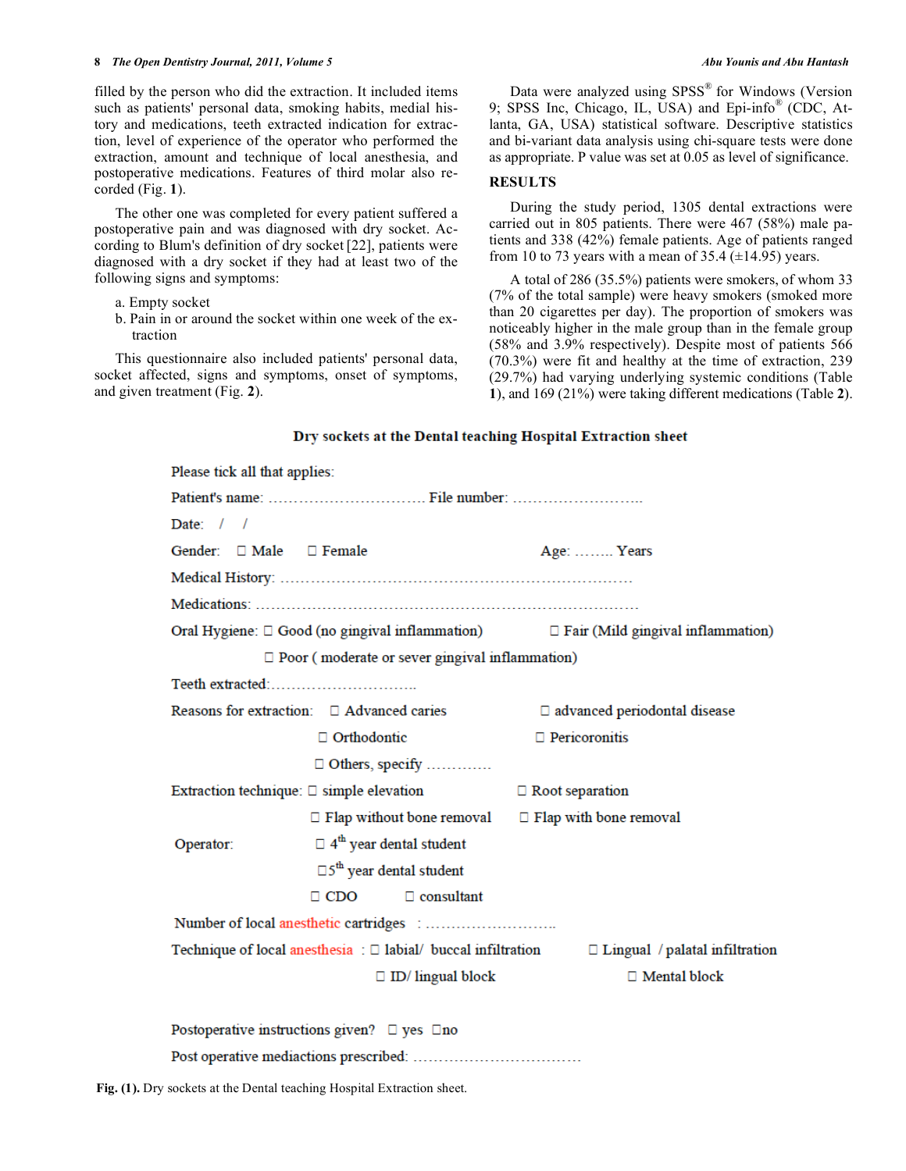### **8**  *The Open Dentistry Journal, 2011, Volume 5* **Abu Younis and Abu Hantash** *Abu Younis and Abu Hantash*

filled by the person who did the extraction. It included items such as patients' personal data, smoking habits, medial history and medications, teeth extracted indication for extraction, level of experience of the operator who performed the extraction, amount and technique of local anesthesia, and postoperative medications. Features of third molar also recorded (Fig. **1**).

The other one was completed for every patient suffered a postoperative pain and was diagnosed with dry socket. According to Blum's definition of dry socket [22], patients were diagnosed with a dry socket if they had at least two of the following signs and symptoms:

- a. Empty socket
- b. Pain in or around the socket within one week of the extraction

This questionnaire also included patients' personal data, socket affected, signs and symptoms, onset of symptoms, and given treatment (Fig. **2**).

Data were analyzed using SPSS<sup>®</sup> for Windows (Version 9; SPSS Inc, Chicago, IL, USA) and Epi-info® (CDC, Atlanta, GA, USA) statistical software. Descriptive statistics and bi-variant data analysis using chi-square tests were done as appropriate. P value was set at 0.05 as level of significance.

## **RESULTS**

During the study period, 1305 dental extractions were carried out in 805 patients. There were 467 (58%) male patients and 338 (42%) female patients. Age of patients ranged from 10 to 73 years with a mean of 35.4  $(\pm 14.95)$  years.

A total of 286 (35.5%) patients were smokers, of whom 33 (7% of the total sample) were heavy smokers (smoked more than 20 cigarettes per day). The proportion of smokers was noticeably higher in the male group than in the female group (58% and 3.9% respectively). Despite most of patients 566 (70.3%) were fit and healthy at the time of extraction, 239 (29.7%) had varying underlying systemic conditions (Table **1**), and 169 (21%) were taking different medications (Table **2**).

## Dry sockets at the Dental teaching Hospital Extraction sheet

| Please tick all that applies:                                                                            |                                     |  |  |  |
|----------------------------------------------------------------------------------------------------------|-------------------------------------|--|--|--|
|                                                                                                          |                                     |  |  |  |
| Date: $/$ /                                                                                              |                                     |  |  |  |
| Gender: $\Box$ Male $\Box$ Female                                                                        | Age:  Years                         |  |  |  |
|                                                                                                          |                                     |  |  |  |
|                                                                                                          |                                     |  |  |  |
| Oral Hygiene: □ Good (no gingival inflammation) □ Fair (Mild gingival inflammation)                      |                                     |  |  |  |
| $\Box$ Poor (moderate or sever gingival inflammation)                                                    |                                     |  |  |  |
| Teeth extracted:                                                                                         |                                     |  |  |  |
| Reasons for extraction: $\Box$ Advanced caries                                                           | $\Box$ advanced periodontal disease |  |  |  |
| $\Box$ Orthodontic                                                                                       | $\Box$ Pericoronitis                |  |  |  |
| $\Box$ Others, specify                                                                                   |                                     |  |  |  |
| Extraction technique: $\square$ simple elevation                                                         | $\Box$ Root separation              |  |  |  |
| $\Box$ Flap without bone removal $\Box$ Flap with bone removal                                           |                                     |  |  |  |
| $\Box$ 4 <sup>th</sup> year dental student<br>Operator:                                                  |                                     |  |  |  |
| $\square$ 5 <sup>th</sup> year dental student                                                            |                                     |  |  |  |
| $\Box$ CDO<br>$\Box$ consultant                                                                          |                                     |  |  |  |
|                                                                                                          |                                     |  |  |  |
| Technique of local anesthesia : $\Box$ labial/ buccal infiltration $\Box$ Lingual / palatal infiltration |                                     |  |  |  |
| $\Box$ ID/ lingual block<br>$\Box$ Mental block                                                          |                                     |  |  |  |
|                                                                                                          |                                     |  |  |  |

Postoperative instructions given?  $\Box$  yes  $\Box$  no 

**Fig. (1).** Dry sockets at the Dental teaching Hospital Extraction sheet.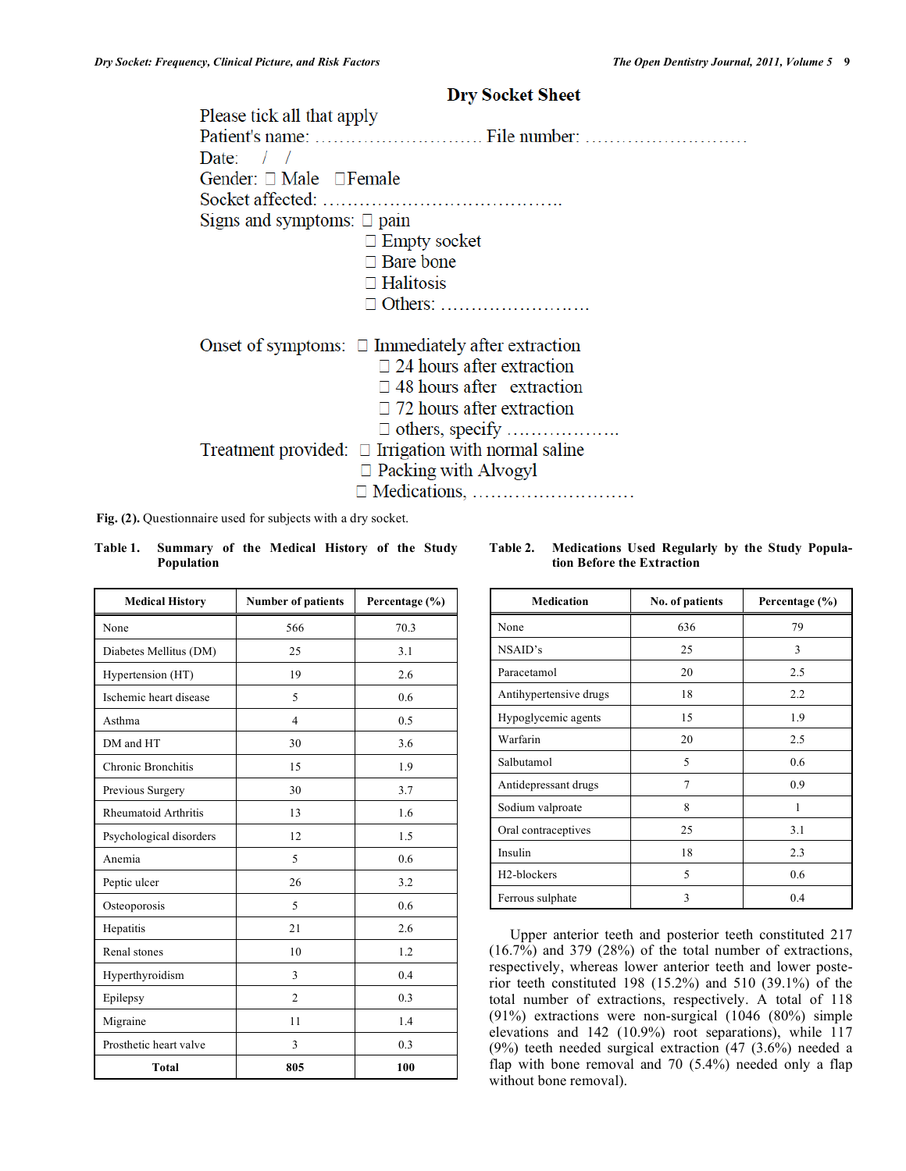## **Dry Socket Sheet**

| Please tick all that apply                               |
|----------------------------------------------------------|
|                                                          |
| Date: $/$ /                                              |
| Gender: $\Box$ Male $\Box$ Female                        |
|                                                          |
| Signs and symptoms: $\Box$ pain                          |
| $\Box$ Empty socket                                      |
| $\Box$ Bare bone                                         |
| $\Box$ Halitosis                                         |
|                                                          |
| Onset of symptoms: $\Box$ Immediately after extraction   |
| $\Box$ 24 hours after extraction                         |
| $\Box$ 48 hours after extraction                         |
| $\Box$ 72 hours after extraction                         |
|                                                          |
| Treatment provided: $\Box$ Irrigation with normal saline |
| $\Box$ Packing with Alvogyl                              |
|                                                          |

**Population** 

**Medical History Number of patients Percentage (%)** 

| <b>Medication</b>        | No. of patients | Percentage (%) |
|--------------------------|-----------------|----------------|
| None                     | 636             | 79             |
| NSAID's                  | 25              | 3              |
| Paracetamol              | 20              | 2.5            |
| Antihypertensive drugs   | 18              | 2.2            |
| Hypoglycemic agents      | 15              | 1.9            |
| Warfarin                 | 20              | 2.5            |
| Salbutamol               | 5               | 0.6            |
| Antidepressant drugs     | 7               | 0.9            |
| Sodium valproate         | 8               | 1              |
| Oral contraceptives      | 25              | 3.1            |
| Insulin                  | 18              | 2.3            |
| H <sub>2</sub> -blockers | 5               | 0.6            |
| Ferrous sulphate         | 3               | 0.4            |

Upper anterior teeth and posterior teeth constituted 217  $(16.7\%)$  and 379 (28%) of the total number of extractions, respectively, whereas lower anterior teeth and lower posterior teeth constituted 198 (15.2%) and 510 (39.1%) of the total number of extractions, respectively. A total of 118 (91%) extractions were non-surgical (1046 (80%) simple elevations and 142 (10.9%) root separations), while 117 (9%) teeth needed surgical extraction (47 (3.6%) needed a flap with bone removal and 70 (5.4%) needed only a flap without bone removal).

| Fig. (2). Questionnaire used for subjects with a dry socket. |                                                      |  |  |  |  |  |  |  |
|--------------------------------------------------------------|------------------------------------------------------|--|--|--|--|--|--|--|
|                                                              | Table 1. Summary of the Medical History of the Study |  |  |  |  |  |  |  |

**Table 2. Medications Used Regularly by the Study Population Before the Extraction** 

| None                        | 566            | 70.3 |
|-----------------------------|----------------|------|
| Diabetes Mellitus (DM)      | 25             | 3.1  |
| Hypertension (HT)           | 19             | 2.6  |
| Ischemic heart disease      | 5              | 0.6  |
| Asthma                      | 4              | 0.5  |
| DM and HT                   | 30             | 3.6  |
| Chronic Bronchitis          | 15             | 1.9  |
| Previous Surgery            | 30             | 3.7  |
| <b>Rheumatoid Arthritis</b> | 13             | 1.6  |
| Psychological disorders     | 12             | 1.5  |
| Anemia                      | 5              | 0.6  |
| Peptic ulcer                | 26             | 3.2  |
| Osteoporosis                | 5              | 0.6  |
| Hepatitis                   | 21             | 2.6  |
| Renal stones                | 10             | 1.2  |
| Hyperthyroidism             | 3              | 0.4  |
| Epilepsy                    | $\overline{2}$ | 0.3  |
| Migraine                    | 11             | 1.4  |
| Prosthetic heart valve      | 3              | 0.3  |
| <b>Total</b>                | 805            | 100  |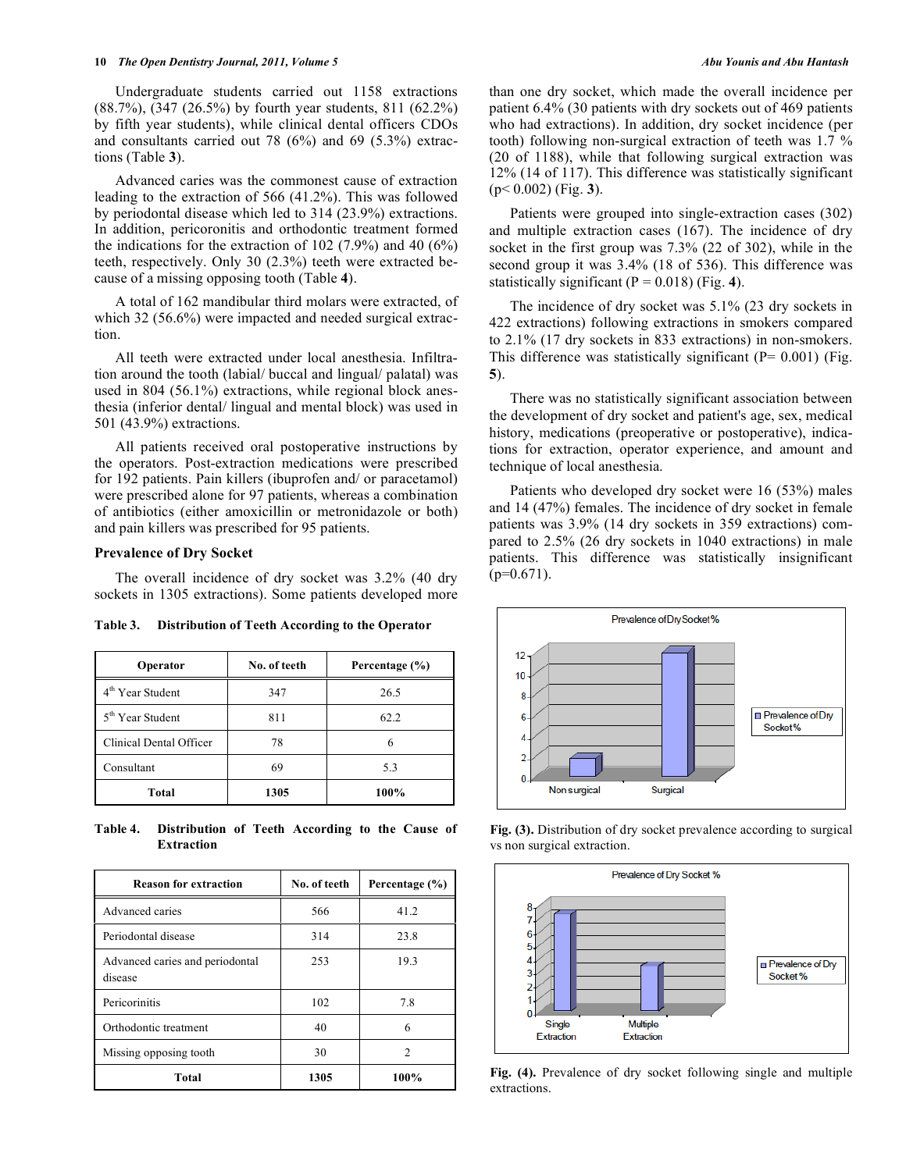Undergraduate students carried out 1158 extractions (88.7%), (347 (26.5%) by fourth year students, 811 (62.2%) by fifth year students), while clinical dental officers CDOs and consultants carried out 78 (6%) and 69 (5.3%) extractions (Table **3**).

Advanced caries was the commonest cause of extraction leading to the extraction of 566 (41.2%). This was followed by periodontal disease which led to 314 (23.9%) extractions. In addition, pericoronitis and orthodontic treatment formed the indications for the extraction of 102 (7.9%) and 40 (6%) teeth, respectively. Only 30 (2.3%) teeth were extracted because of a missing opposing tooth (Table **4**).

A total of 162 mandibular third molars were extracted, of which 32 (56.6%) were impacted and needed surgical extraction.

All teeth were extracted under local anesthesia. Infiltration around the tooth (labial/ buccal and lingual/ palatal) was used in 804 (56.1%) extractions, while regional block anesthesia (inferior dental/ lingual and mental block) was used in 501 (43.9%) extractions.

All patients received oral postoperative instructions by the operators. Post-extraction medications were prescribed for 192 patients. Pain killers (ibuprofen and/ or paracetamol) were prescribed alone for 97 patients, whereas a combination of antibiotics (either amoxicillin or metronidazole or both) and pain killers was prescribed for 95 patients.

## **Prevalence of Dry Socket**

The overall incidence of dry socket was 3.2% (40 dry sockets in 1305 extractions). Some patients developed more

**Table 3. Distribution of Teeth According to the Operator** 

| Operator                     | No. of teeth | Percentage (%) |
|------------------------------|--------------|----------------|
| 4 <sup>th</sup> Year Student | 347          | 26.5           |
| 5 <sup>th</sup> Year Student | 811          | 62.2           |
| Clinical Dental Officer      | 78           | 6              |
| Consultant                   | 69           | 5.3            |
| Total                        | 1305         | 100%           |

**Table 4. Distribution of Teeth According to the Cause of Extraction** 

| <b>Reason for extraction</b>               | No. of teeth | Percentage (%) |
|--------------------------------------------|--------------|----------------|
| Advanced caries                            | 566          | 41.2           |
| Periodontal disease                        | 314          | 23.8           |
| Advanced caries and periodontal<br>disease | 253          | 19.3           |
| Pericorinitis                              | 102          | 7.8            |
| Orthodontic treatment                      | 40           | 6              |
| Missing opposing tooth                     | 30           | 2              |
| Total                                      | 1305         | 100%           |

than one dry socket, which made the overall incidence per patient 6.4% (30 patients with dry sockets out of 469 patients who had extractions). In addition, dry socket incidence (per tooth) following non-surgical extraction of teeth was 1.7 % (20 of 1188), while that following surgical extraction was 12% (14 of 117). This difference was statistically significant (p< 0.002) (Fig. **3**).

Patients were grouped into single-extraction cases (302) and multiple extraction cases (167). The incidence of dry socket in the first group was 7.3% (22 of 302), while in the second group it was 3.4% (18 of 536). This difference was statistically significant  $(P = 0.018)$  (Fig. 4).

The incidence of dry socket was 5.1% (23 dry sockets in 422 extractions) following extractions in smokers compared to 2.1% (17 dry sockets in 833 extractions) in non-smokers. This difference was statistically significant ( $P= 0.001$ ) (Fig. **5**).

There was no statistically significant association between the development of dry socket and patient's age, sex, medical history, medications (preoperative or postoperative), indications for extraction, operator experience, and amount and technique of local anesthesia.

Patients who developed dry socket were 16 (53%) males and 14 (47%) females. The incidence of dry socket in female patients was 3.9% (14 dry sockets in 359 extractions) compared to 2.5% (26 dry sockets in 1040 extractions) in male patients. This difference was statistically insignificant  $(p=0.671)$ .



**Fig. (3).** Distribution of dry socket prevalence according to surgical vs non surgical extraction.



**Fig. (4).** Prevalence of dry socket following single and multiple extractions.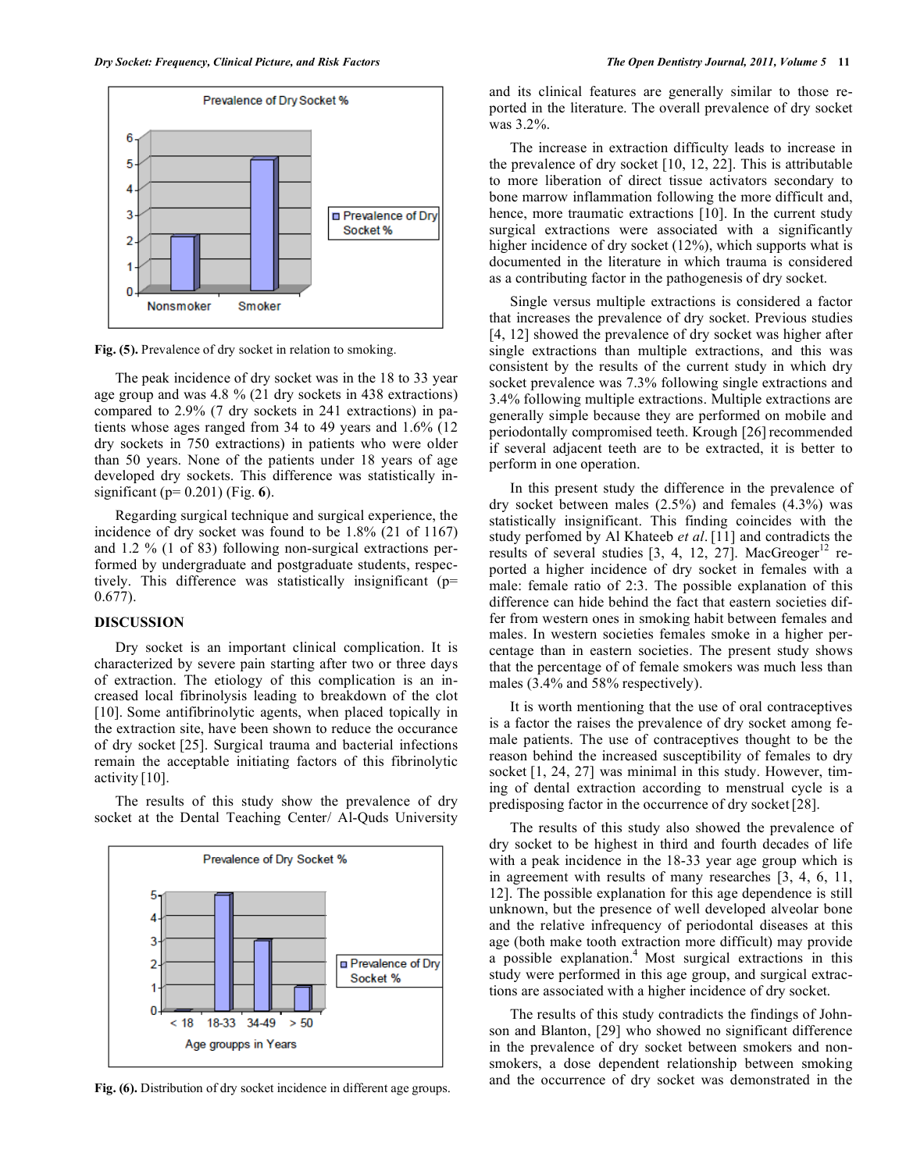

Fig. (5). Prevalence of dry socket in relation to smoking.

The peak incidence of dry socket was in the 18 to 33 year age group and was 4.8 % (21 dry sockets in 438 extractions) compared to 2.9% (7 dry sockets in 241 extractions) in patients whose ages ranged from 34 to 49 years and 1.6% (12 dry sockets in 750 extractions) in patients who were older than 50 years. None of the patients under 18 years of age developed dry sockets. This difference was statistically insignificant (p= 0.201) (Fig. **6**).

Regarding surgical technique and surgical experience, the incidence of dry socket was found to be 1.8% (21 of 1167) and 1.2 % (1 of 83) following non-surgical extractions performed by undergraduate and postgraduate students, respectively. This difference was statistically insignificant (p= 0.677).

## **DISCUSSION**

Dry socket is an important clinical complication. It is characterized by severe pain starting after two or three days of extraction. The etiology of this complication is an increased local fibrinolysis leading to breakdown of the clot [10]. Some antifibrinolytic agents, when placed topically in the extraction site, have been shown to reduce the occurance of dry socket [25]. Surgical trauma and bacterial infections remain the acceptable initiating factors of this fibrinolytic activity [10].

The results of this study show the prevalence of dry socket at the Dental Teaching Center/ Al-Quds University



**Fig. (6).** Distribution of dry socket incidence in different age groups.

and its clinical features are generally similar to those reported in the literature. The overall prevalence of dry socket was 3.2%.

The increase in extraction difficulty leads to increase in the prevalence of dry socket [10, 12, 22]. This is attributable to more liberation of direct tissue activators secondary to bone marrow inflammation following the more difficult and, hence, more traumatic extractions [10]. In the current study surgical extractions were associated with a significantly higher incidence of dry socket (12%), which supports what is documented in the literature in which trauma is considered as a contributing factor in the pathogenesis of dry socket.

Single versus multiple extractions is considered a factor that increases the prevalence of dry socket. Previous studies [4, 12] showed the prevalence of dry socket was higher after single extractions than multiple extractions, and this was consistent by the results of the current study in which dry socket prevalence was 7.3% following single extractions and 3.4% following multiple extractions. Multiple extractions are generally simple because they are performed on mobile and periodontally compromised teeth. Krough [26] recommended if several adjacent teeth are to be extracted, it is better to perform in one operation.

In this present study the difference in the prevalence of dry socket between males (2.5%) and females (4.3%) was statistically insignificant. This finding coincides with the study perfomed by Al Khateeb *et al*. [11] and contradicts the results of several studies  $[3, 4, 12, 27]$ . MacGreoger<sup>12</sup> reported a higher incidence of dry socket in females with a male: female ratio of 2:3. The possible explanation of this difference can hide behind the fact that eastern societies differ from western ones in smoking habit between females and males. In western societies females smoke in a higher percentage than in eastern societies. The present study shows that the percentage of of female smokers was much less than males (3.4% and 58% respectively).

It is worth mentioning that the use of oral contraceptives is a factor the raises the prevalence of dry socket among female patients. The use of contraceptives thought to be the reason behind the increased susceptibility of females to dry socket [1, 24, 27] was minimal in this study. However, timing of dental extraction according to menstrual cycle is a predisposing factor in the occurrence of dry socket [28].

The results of this study also showed the prevalence of dry socket to be highest in third and fourth decades of life with a peak incidence in the 18-33 year age group which is in agreement with results of many researches [3, 4, 6, 11, 12]. The possible explanation for this age dependence is still unknown, but the presence of well developed alveolar bone and the relative infrequency of periodontal diseases at this age (both make tooth extraction more difficult) may provide a possible explanation.<sup>4</sup> Most surgical extractions in this study were performed in this age group, and surgical extractions are associated with a higher incidence of dry socket.

The results of this study contradicts the findings of Johnson and Blanton, [29] who showed no significant difference in the prevalence of dry socket between smokers and nonsmokers, a dose dependent relationship between smoking and the occurrence of dry socket was demonstrated in the